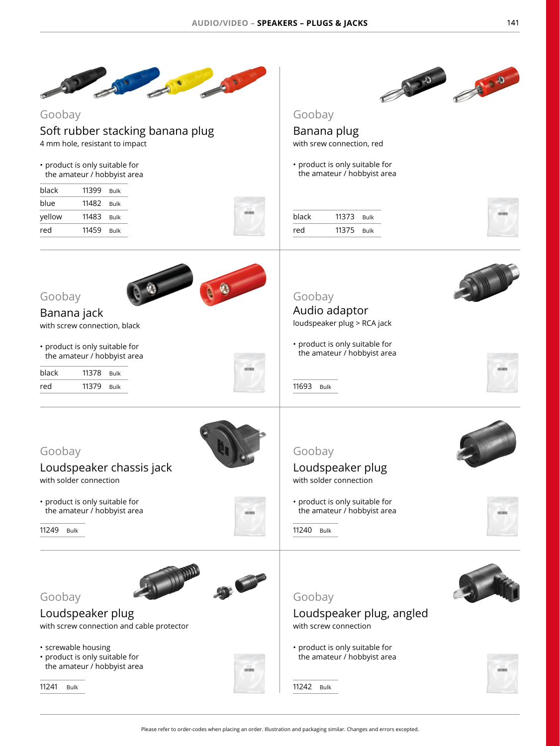